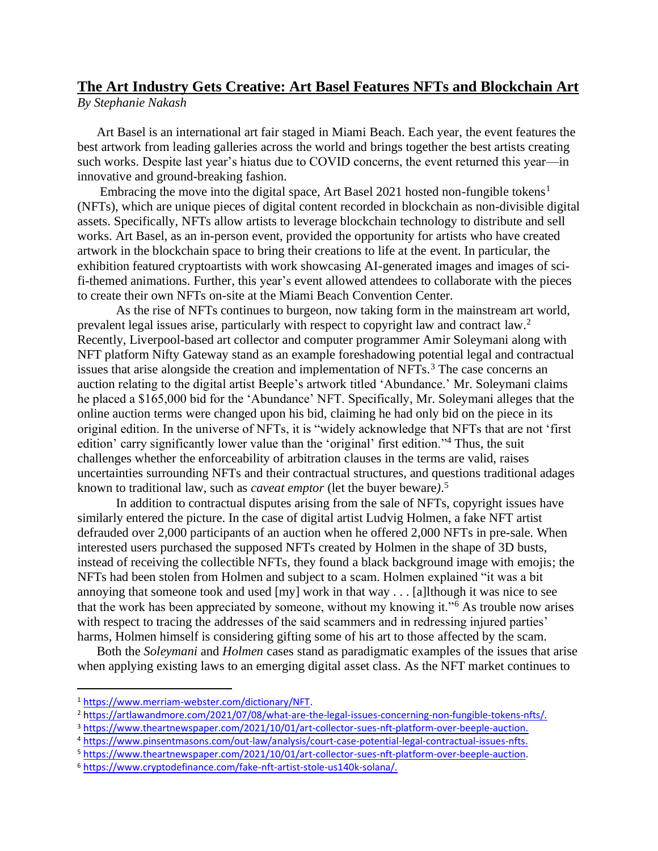## **The Art Industry Gets Creative: Art Basel Features NFTs and Blockchain Art** *By Stephanie Nakash*

Art Basel is an international art fair staged in Miami Beach. Each year, the event features the best artwork from leading galleries across the world and brings together the best artists creating such works. Despite last year's hiatus due to COVID concerns, the event returned this year—in innovative and ground-breaking fashion.

Embracing the move into the digital space, Art Basel 2021 hosted non-fungible tokens<sup>1</sup> (NFTs), which are unique pieces of digital content recorded in blockchain as non-divisible digital assets. Specifically, NFTs allow artists to leverage blockchain technology to distribute and sell works. Art Basel, as an in-person event, provided the opportunity for artists who have created artwork in the blockchain space to bring their creations to life at the event. In particular, the exhibition featured cryptoartists with work showcasing AI-generated images and images of scifi-themed animations. Further, this year's event allowed attendees to collaborate with the pieces to create their own NFTs on-site at the Miami Beach Convention Center.

As the rise of NFTs continues to burgeon, now taking form in the mainstream art world, prevalent legal issues arise, particularly with respect to copyright law and contract law.<sup>2</sup> Recently, Liverpool-based art collector and computer programmer Amir Soleymani along with NFT platform Nifty Gateway stand as an example foreshadowing potential legal and contractual issues that arise alongside the creation and implementation of NFTs.<sup>3</sup> The case concerns an auction relating to the digital artist Beeple's artwork titled 'Abundance.' Mr. Soleymani claims he placed a \$165,000 bid for the 'Abundance' NFT. Specifically, Mr. Soleymani alleges that the online auction terms were changed upon his bid, claiming he had only bid on the piece in its original edition. In the universe of NFTs, it is "widely acknowledge that NFTs that are not 'first edition' carry significantly lower value than the 'original' first edition."<sup>4</sup> Thus, the suit challenges whether the enforceability of arbitration clauses in the terms are valid, raises uncertainties surrounding NFTs and their contractual structures, and questions traditional adages known to traditional law, such as *caveat emptor* (let the buyer beware*)*. 5

In addition to contractual disputes arising from the sale of NFTs, copyright issues have similarly entered the picture. In the case of digital artist Ludvig Holmen, a fake NFT artist defrauded over 2,000 participants of an auction when he offered 2,000 NFTs in pre-sale. When interested users purchased the supposed NFTs created by Holmen in the shape of 3D busts, instead of receiving the collectible NFTs, they found a black background image with emojis; the NFTs had been stolen from Holmen and subject to a scam. Holmen explained "it was a bit annoying that someone took and used [my] work in that way . . . [a]lthough it was nice to see that the work has been appreciated by someone, without my knowing it."<sup>6</sup> As trouble now arises with respect to tracing the addresses of the said scammers and in redressing injured parties' harms, Holmen himself is considering gifting some of his art to those affected by the scam.

Both the *Soleymani* and *Holmen* cases stand as paradigmatic examples of the issues that arise when applying existing laws to an emerging digital asset class. As the NFT market continues to

<sup>1</sup> [https://www.merriam-webster.com/dictionary/NFT.](https://www.merriam-webster.com/dictionary/NFT)

<sup>2</sup> [https://artlawandmore.com/2021/07/08/what-are-the-legal-issues-concerning-non-fungible-tokens-nfts/.](ttps://artlawandmore.com/2021/07/08/what-are-the-legal-issues-concerning-non-fungible-tokens-nfts/)

<sup>3</sup> [https://www.theartnewspaper.com/2021/10/01/art-collector-sues-nft-platform-over-beeple-auction.](https://www.theartnewspaper.com/2021/10/01/art-collector-sues-nft-platform-over-beeple-auction)

<sup>4</sup> <https://www.pinsentmasons.com/out-law/analysis/court-case-potential-legal-contractual-issues-nfts.>

<sup>5</sup> [https://www.theartnewspaper.com/2021/10/01/art-collector-sues-nft-platform-over-beeple-auction.](https://www.theartnewspaper.com/2021/10/01/art-collector-sues-nft-platform-over-beeple-auction) 

<sup>6</sup> [https://www.cryptodefinance.com/fake-nft-artist-stole-us140k-solana/.](https://www.cryptodefinance.com/fake-nft-artist-stole-us140k-solana/)